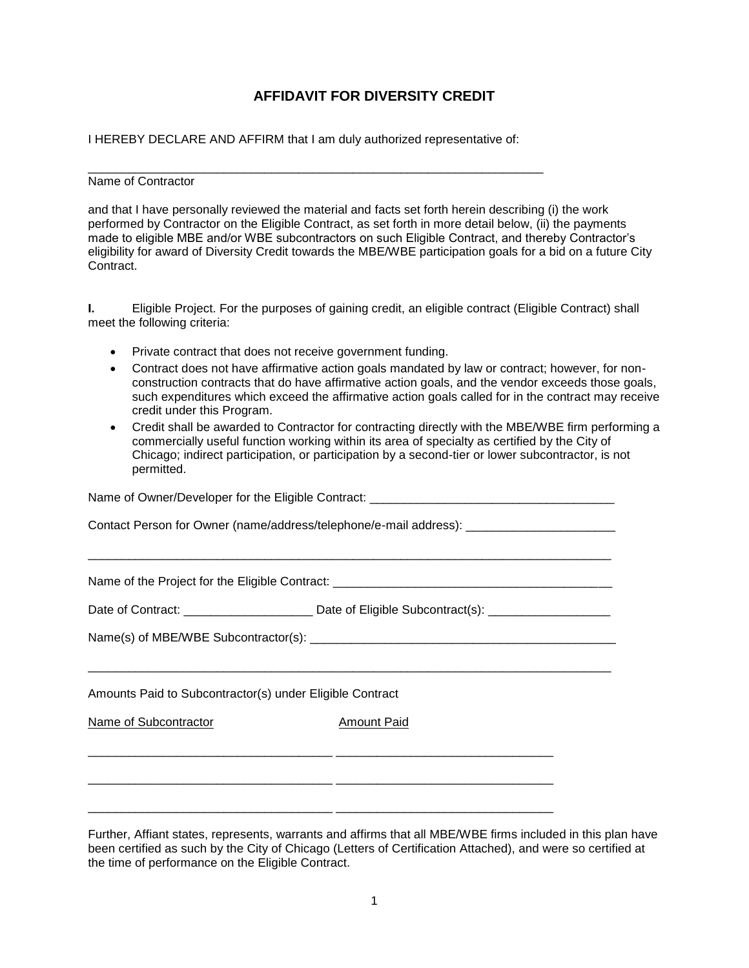## **AFFIDAVIT FOR DIVERSITY CREDIT**

I HEREBY DECLARE AND AFFIRM that I am duly authorized representative of:

 $\overline{\phantom{a}}$  ,  $\overline{\phantom{a}}$  ,  $\overline{\phantom{a}}$  ,  $\overline{\phantom{a}}$  ,  $\overline{\phantom{a}}$  ,  $\overline{\phantom{a}}$  ,  $\overline{\phantom{a}}$  ,  $\overline{\phantom{a}}$  ,  $\overline{\phantom{a}}$  ,  $\overline{\phantom{a}}$  ,  $\overline{\phantom{a}}$  ,  $\overline{\phantom{a}}$  ,  $\overline{\phantom{a}}$  ,  $\overline{\phantom{a}}$  ,  $\overline{\phantom{a}}$  ,  $\overline{\phantom{a}}$ 

## Name of Contractor

and that I have personally reviewed the material and facts set forth herein describing (i) the work performed by Contractor on the Eligible Contract, as set forth in more detail below, (ii) the payments made to eligible MBE and/or WBE subcontractors on such Eligible Contract, and thereby Contractor's eligibility for award of Diversity Credit towards the MBE/WBE participation goals for a bid on a future City Contract.

**I.** Eligible Project. For the purposes of gaining credit, an eligible contract (Eligible Contract) shall meet the following criteria:

- Private contract that does not receive government funding.
- Contract does not have affirmative action goals mandated by law or contract; however, for nonconstruction contracts that do have affirmative action goals, and the vendor exceeds those goals, such expenditures which exceed the affirmative action goals called for in the contract may receive credit under this Program.
- Credit shall be awarded to Contractor for contracting directly with the MBE/WBE firm performing a commercially useful function working within its area of specialty as certified by the City of Chicago; indirect participation, or participation by a second-tier or lower subcontractor, is not permitted.

| Contact Person for Owner (name/address/telephone/e-mail address): ______________________ |                                                                                                            |  |
|------------------------------------------------------------------------------------------|------------------------------------------------------------------------------------------------------------|--|
|                                                                                          |                                                                                                            |  |
|                                                                                          | Date of Contract: ________________________________ Date of Eligible Subcontract(s): ______________________ |  |
|                                                                                          |                                                                                                            |  |
|                                                                                          |                                                                                                            |  |
| Amounts Paid to Subcontractor(s) under Eligible Contract                                 |                                                                                                            |  |
| Name of Subcontractor                                                                    | <b>Amount Paid</b>                                                                                         |  |
|                                                                                          |                                                                                                            |  |
|                                                                                          |                                                                                                            |  |
|                                                                                          |                                                                                                            |  |
|                                                                                          |                                                                                                            |  |

Further, Affiant states, represents, warrants and affirms that all MBE/WBE firms included in this plan have been certified as such by the City of Chicago (Letters of Certification Attached), and were so certified at the time of performance on the Eligible Contract.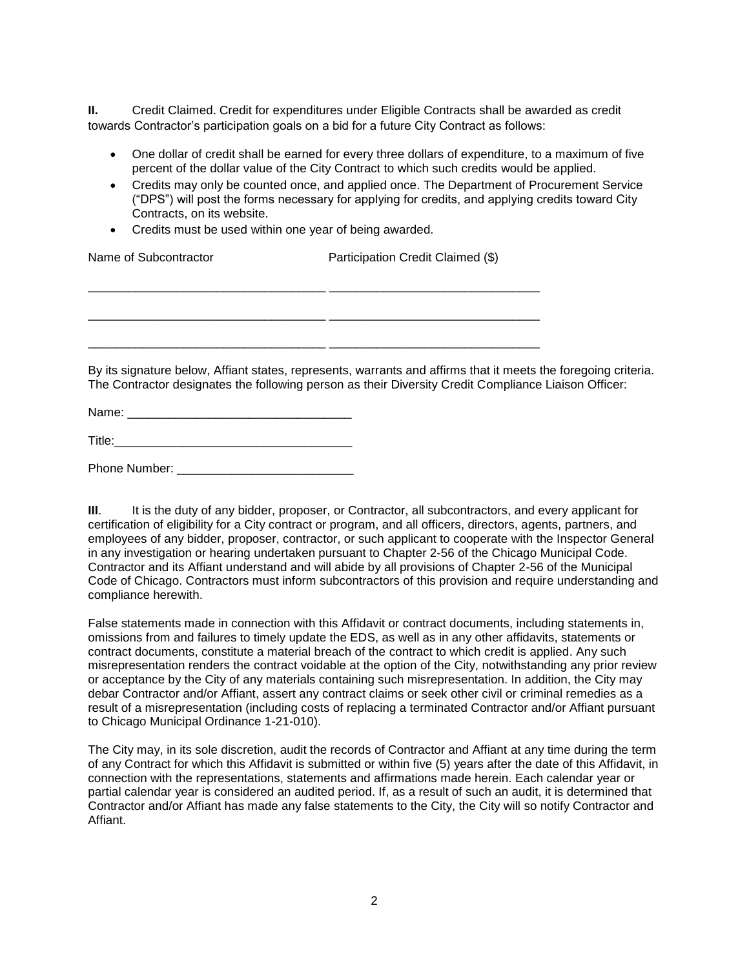**II.** Credit Claimed. Credit for expenditures under Eligible Contracts shall be awarded as credit towards Contractor's participation goals on a bid for a future City Contract as follows:

- One dollar of credit shall be earned for every three dollars of expenditure, to a maximum of five percent of the dollar value of the City Contract to which such credits would be applied.
- Credits may only be counted once, and applied once. The Department of Procurement Service ("DPS") will post the forms necessary for applying for credits, and applying credits toward City Contracts, on its website.
- Credits must be used within one year of being awarded.

| Name of Subcontractor | Participation Credit Claimed (\$)                                                                                                                                                                                      |  |
|-----------------------|------------------------------------------------------------------------------------------------------------------------------------------------------------------------------------------------------------------------|--|
|                       |                                                                                                                                                                                                                        |  |
|                       |                                                                                                                                                                                                                        |  |
|                       | By its signature below, Affiant states, represents, warrants and affirms that it meets the foregoing criteria.<br>The Contractor designates the following person as their Diversity Credit Compliance Liaison Officer: |  |

Name: \_\_\_\_\_\_\_\_\_\_\_\_\_\_\_\_\_\_\_\_\_\_\_\_\_\_\_\_\_\_\_\_\_

Title:\_\_\_\_\_\_\_\_\_\_\_\_\_\_\_\_\_\_\_\_\_\_\_\_\_\_\_\_\_\_\_\_\_\_\_

Phone Number: \_\_\_\_\_\_\_\_\_\_\_\_\_\_\_\_\_\_\_\_\_\_\_\_\_\_

**III.** It is the duty of any bidder, proposer, or Contractor, all subcontractors, and every applicant for certification of eligibility for a City contract or program, and all officers, directors, agents, partners, and employees of any bidder, proposer, contractor, or such applicant to cooperate with the Inspector General in any investigation or hearing undertaken pursuant to Chapter 2-56 of the Chicago Municipal Code. Contractor and its Affiant understand and will abide by all provisions of Chapter 2-56 of the Municipal Code of Chicago. Contractors must inform subcontractors of this provision and require understanding and compliance herewith.

False statements made in connection with this Affidavit or contract documents, including statements in, omissions from and failures to timely update the EDS, as well as in any other affidavits, statements or contract documents, constitute a material breach of the contract to which credit is applied. Any such misrepresentation renders the contract voidable at the option of the City, notwithstanding any prior review or acceptance by the City of any materials containing such misrepresentation. In addition, the City may debar Contractor and/or Affiant, assert any contract claims or seek other civil or criminal remedies as a result of a misrepresentation (including costs of replacing a terminated Contractor and/or Affiant pursuant to Chicago Municipal Ordinance 1-21-010).

The City may, in its sole discretion, audit the records of Contractor and Affiant at any time during the term of any Contract for which this Affidavit is submitted or within five (5) years after the date of this Affidavit, in connection with the representations, statements and affirmations made herein. Each calendar year or partial calendar year is considered an audited period. If, as a result of such an audit, it is determined that Contractor and/or Affiant has made any false statements to the City, the City will so notify Contractor and Affiant.